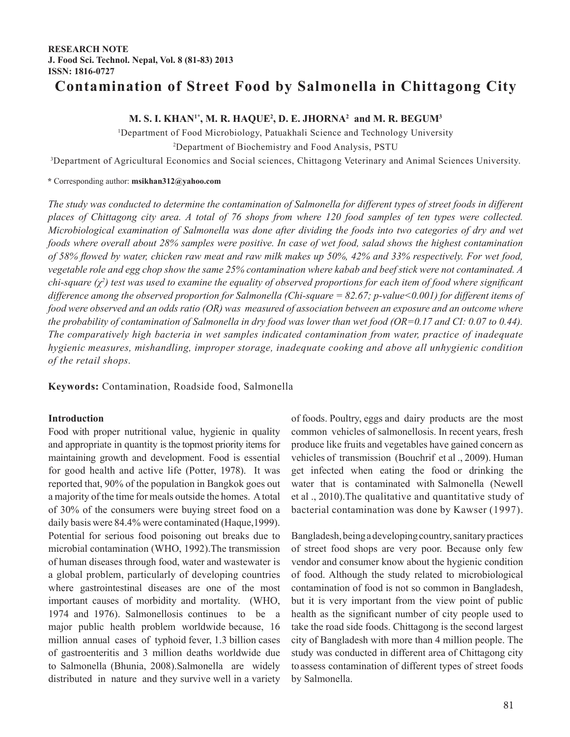## **RESEARCH NOTE J. Food Sci. Technol. Nepal, Vol. 8 (81-83) 2013 ISSN: 1816-0727**

# **Contamination of Street Food by Salmonella in Chittagong City**

## **M. S. I. KHAN1\*, M. R. HAQUE2 , D. E. JHORNA2 and M. R. BEGUM3**

1 Department of Food Microbiology, Patuakhali Science and Technology University 2 Department of Biochemistry and Food Analysis, PSTU

3 Department of Agricultural Economics and Social sciences, Chittagong Veterinary and Animal Sciences University.

**\*** Corresponding author: **msikhan312@yahoo.com**

*The study was conducted to determine the contamination of Salmonella for different types of street foods in different places of Chittagong city area. A total of 76 shops from where 120 food samples of ten types were collected. Microbiological examination of Salmonella was done after dividing the foods into two categories of dry and wet foods where overall about 28% samples were positive. In case of wet food, salad shows the highest contamination of 58% flowed by water, chicken raw meat and raw milk makes up 50%, 42% and 33% respectively. For wet food, vegetable role and egg chop show the same 25% contamination where kabab and beef stick were not contaminated. A chi-square (χ<sup>2</sup> ) test was used to examine the equality of observed proportions for each item of food where significant difference among the observed proportion for Salmonella (Chi-square = 82.67; p-value<0.001) for different items of food were observed and an odds ratio (OR) was measured of association between an exposure and an outcome where the probability of contamination of Salmonella in dry food was lower than wet food (OR=0.17 and CI: 0.07 to 0.44). The comparatively high bacteria in wet samples indicated contamination from water, practice of inadequate hygienic measures, mishandling, improper storage, inadequate cooking and above all unhygienic condition of the retail shops.*

**Keywords:** Contamination, Roadside food, Salmonella

## **Introduction**

Food with proper nutritional value, hygienic in quality and appropriate in quantity is the topmost priority items for maintaining growth and development. Food is essential for good health and active life (Potter, 1978). It was reported that, 90% of the population in Bangkok goes out a majority of the time for meals outside the homes. A total of 30% of the consumers were buying street food on a daily basis were 84.4% were contaminated (Haque,1999). Potential for serious food poisoning out breaks due to microbial contamination (WHO, 1992).The transmission of human diseases through food, water and wastewater is a global problem, particularly of developing countries where gastrointestinal diseases are one of the most important causes of morbidity and mortality. (WHO, 1974 and 1976). Salmonellosis continues to be a major public health problem worldwide because, 16 million annual cases of typhoid fever, 1.3 billion cases of gastroenteritis and 3 million deaths worldwide due to Salmonella (Bhunia, 2008).Salmonella are widely distributed in nature and they survive well in a variety of foods. Poultry, eggs and dairy products are the most common vehicles of salmonellosis. In recent years, fresh produce like fruits and vegetables have gained concern as vehicles of transmission (Bouchrif et al ., 2009). Human get infected when eating the food or drinking the water that is contaminated with Salmonella (Newell et al ., 2010).The qualitative and quantitative study of bacterial contamination was done by Kawser (1997).

Bangladesh, being a developing country, sanitary practices of street food shops are very poor. Because only few vendor and consumer know about the hygienic condition of food. Although the study related to microbiological contamination of food is not so common in Bangladesh, but it is very important from the view point of public health as the significant number of city people used to take the road side foods. Chittagong is the second largest city of Bangladesh with more than 4 million people. The study was conducted in different area of Chittagong city to assess contamination of different types of street foods by Salmonella.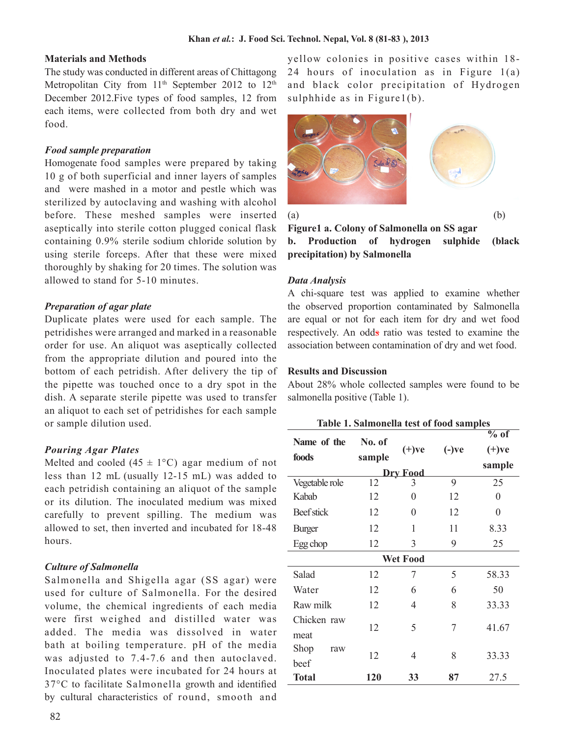## **Materials and Methods**

The study was conducted in different areas of Chittagong Metropolitan City from  $11<sup>th</sup>$  September 2012 to  $12<sup>th</sup>$ December 2012.Five types of food samples, 12 from each items, were collected from both dry and wet food.

## *Food sample preparation*

Homogenate food samples were prepared by taking 10 g of both superficial and inner layers of samples and were mashed in a motor and pestle which was sterilized by autoclaving and washing with alcohol before. These meshed samples were inserted aseptically into sterile cotton plugged conical flask containing 0.9% sterile sodium chloride solution by using sterile forceps. After that these were mixed thoroughly by shaking for 20 times. The solution was allowed to stand for 5-10 minutes.

## *Preparation of agar plate*

Duplicate plates were used for each sample. The petridishes were arranged and marked in a reasonable order for use. An aliquot was aseptically collected from the appropriate dilution and poured into the bottom of each petridish. After delivery the tip of the pipette was touched once to a dry spot in the dish. A separate sterile pipette was used to transfer an aliquot to each set of petridishes for each sample or sample dilution used.

## *Pouring Agar Plates*

Melted and cooled  $(45 \pm 1^{\circ}C)$  agar medium of not less than 12 mL (usually 12-15 mL) was added to each petridish containing an aliquot of the sample or its dilution. The inoculated medium was mixed carefully to prevent spilling. The medium was allowed to set, then inverted and incubated for 18-48 hours.

## *Culture of Salmonella*

Salmonella and Shigella agar (SS agar) were used for culture of Salmonella. For the desired volume, the chemical ingredients of each media were first weighed and distilled water was added. The media was dissolved in water bath at boiling temperature. pH of the media was adjusted to 7.4-7.6 and then autoclaved. Inoculated plates were incubated for 24 hours at 37°C to facilitate Salmonella growth and identified by cultural characteristics of round, smooth and

yellow colonies in positive cases within 18- 24 hours of inoculation as in Figure 1(a) and black color precipitation of Hydrogen sulphhide as in Figure1(b).



 $(a)$  (b)

**Figure1 a. Colony of Salmonella on SS agar b. Production of hydrogen sulphide (black precipitation) by Salmonella**

## *Data Analysis*

A chi-square test was applied to examine whether the observed proportion contaminated by Salmonella are equal or not for each item for dry and wet food respectively. An odds ratio was tested to examine the association between contamination of dry and wet food.

#### **Results and Discussion**

About 28% whole collected samples were found to be salmonella positive (Table 1).

| Table 1. Salmonella test of food samples |                  |          |          |                                         |
|------------------------------------------|------------------|----------|----------|-----------------------------------------|
| Name of the<br>foods                     | No. of<br>sample | $(+)$ ve | $(-)$ ve | $\overline{\%$ of<br>$(+)$ ve<br>sample |
| <b>Dry Food</b>                          |                  |          |          |                                         |
| Vegetable role                           | 12               | 3        | 9        | 25                                      |
| Kabab                                    | 12               | 0        | 12       | 0                                       |
| Beef stick                               | 12               | 0        | 12       | $\theta$                                |
| <b>Burger</b>                            | 12               | 1        | 11       | 8.33                                    |
| Egg chop                                 | 12               | 3        | 9        | 25                                      |
| <b>Wet Food</b>                          |                  |          |          |                                         |
| Salad                                    | 12               | 7        | 5        | 58.33                                   |
| Water                                    | 12               | 6        | 6        | 50                                      |
| Raw milk                                 | 12               | 4        | 8        | 33.33                                   |
| Chicken raw<br>meat                      | 12               | 5        | 7        | 41.67                                   |
| Shop<br>raw<br>beef                      | 12               | 4        | 8        | 33.33                                   |
| <b>Total</b>                             | 120              | 33       | 87       | 27.5                                    |